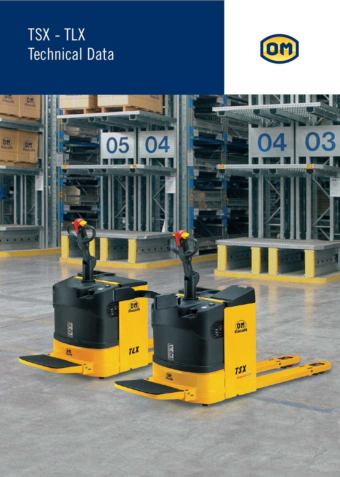## TSX - TLX Technical Data



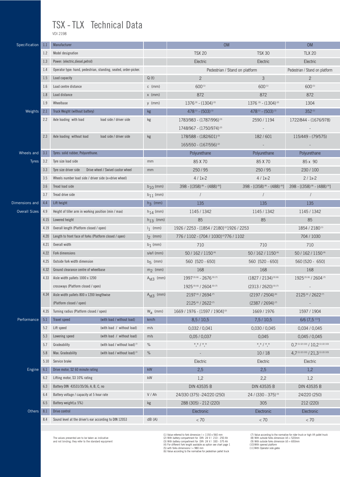## TSX - TLX Technical Data

VDI 2198

| <b>TSX 20</b><br><b>TLX 20</b><br>1.2<br>Model designation<br><b>TSX 30</b><br>1.3<br>Power: (electric, diesel, petrol)<br>Electric<br>Electric<br>Electric<br>1.4<br>Operator type: hand, pedestrian, standing, seated, order-picker.<br>Pedestrian / Stand on platform<br>Pedestrian / Stand on platform<br>$\overline{2}$<br>$\mathfrak{Z}$<br>Q(t)<br>$\overline{2}$<br>1.5<br>Load capacity<br>600(1)<br>600(1)<br>Load centre distance<br>600(1)<br>1.6<br>$c \text{ (mm)}$<br>872<br>1.8<br>Load distance<br>$x \text{ (mm)}$<br>872<br>872<br>1.9<br>Wheelbase<br>$1376^{(3)} - (1304)^{(2)}$<br>$1376$ (3) - $(1304)$ (2)<br>1304<br>y (mm)<br>2.1<br>Truck Weight (without battery)<br>$478^{(1)} - (503)^{(1)}$<br>352 <sup>(1)</sup><br>Weights<br>kg<br>$478^{(1)} - (503)^{(1)}$<br>2.2<br>Axle loading with load<br>load side / driver side<br>1722/844 - (1676/978)<br>kg<br>1783/983 - (1787/996) <sup>(3)</sup><br>2590 / 1194<br>$1748/967 - (1750/974)^{\circ}$<br>2.3<br>Axle loading without load<br>load side / driver side<br>kg<br>$178/588 - (182/601)^{(3)}$<br>182/601<br>115/449 - (79/575)<br>$165/550 - (167/556)^{(2)}$<br>3.1<br>Tyres: solid rubber, Polyurethane.<br>Polyurethane<br>Wheels and<br>Polyurethane<br>Polyurethane<br>3.2<br>85 x 90<br><b>Tyres</b><br>Tyre size load side<br>85 X 70<br>85 X 70<br>mm<br>Drive wheel / Swivel castor wheel<br>250/95<br>250/95<br>3.3<br>Tyre size driver side<br>230/100<br>mm<br>$4/1x-2$<br>$4/1x-2$<br>$2/1x-2$<br>3.5<br>Wheels number load side / driver side (x=drive wheel)<br>Tread load side<br>398 - [(358) (8) - (488) (9)]<br>398 - [(358) (8) - (488) (9)]<br>398 - [(358) (8) - (488) (9)]<br>3.6<br>$b_{10}$ (mm)<br>3.7<br>Tread drive side<br>$b_{11}$ (mm)<br>$\sqrt{2}$<br>$\sqrt{2}$<br>$h_3$ (mm)<br>4.4<br>Lift height<br>135<br>135<br>135<br><b>Overall Sizes</b><br>$h_{14}$ (mm)<br>1145 / 1342<br>1145 / 1342<br>4.9<br>Height of tiller arm in working position (min / max)<br>1145 / 1342<br>$h_{13}$ (mm)<br>85<br>85<br>85<br>4.15<br>Lowered height<br>Overall length (Platform closed / open)<br>1854 / 2180(1)<br>$l_1$ (mm)<br>1926 / 2253 - [1854 / 2180] <sup>[2]</sup> 1926 / 2253<br>4.19<br>Length to front face of forks (Platform closed / open)<br>$I_2$ (mm)<br>704 / 1030<br>776 / 1102 - [704 / 1030] <sup>(2)</sup> 776 / 1102<br>4.20<br>710<br>710<br>4.21<br>Overall width<br>$b_1$ (mm)<br>710<br>Fork dimensions<br>$s/e/l$ (mm)<br>50 / 162 / 1150 (4)<br>50 / 162 / 1150 (4)<br>50 / 162 / 1150 (4)<br>4.22<br>Outside fork width dimension<br>4.25<br>$b_5$ (mm)<br>560 [520 - 650]<br>560 [520 - 650]<br>560 [520 - 650]<br>Ground clearance centre of wheelbase<br>$m2$ (mm)<br>168<br>168<br>168<br>4.32<br>1925(5)(6) / 2604(7)<br>1997 (5) (6) - 2676 (5) (7)<br>$(1827 / 2134)^{(5)(6)}$<br>4.33<br>Aisle width pallets 1000 x 1200<br>$Ast3$ (mm)<br>1925(5)(6) / 2604(5)(7)<br>$(2313 / 2620)^{(5)(7)}$<br>crossways (Platform closed / open)<br>Aisle width pallets 800 x 1200 lengthwise<br>2197 (6) / 2694 (7)<br>4.34<br>$Ast3$ (mm)<br>$(2197/2504)^{(6)}$<br>2125(6) / 2622(7)<br>2125(6) / 2622(7)<br>$(2387 / 2694)^{(7)}$<br>(Platform closed / open)<br>$W_a$ (mm)<br>1669 / 1976 - [1597 / 1904] <sup>(2)</sup><br>4.35<br>Turning radius (Platform closed / open)<br>1669 / 1976<br>1597 / 1904<br>(with load / without load)<br>$6/6$ (7,5 <sup>(11)</sup> )<br>Performance<br>5.1<br>Travel speed<br>km/h<br>8,5/10,5<br>7,5/10,5<br>5.2<br>(with load / without load)<br>0,032/0,041<br>Lift speed<br>m/s<br>0,030/0,045<br>0,034/0,045<br>Lowering speed<br>(with load / without load)<br>0,05/0,037<br>0,045<br>5.3<br>m/s<br>0,045/0,045<br>$^{\star},^{\star}$ / $^{\star},^{\star}$<br>$0.7$ <sup>(1)(2)(10)</sup> / $10.2$ <sup>(1)(2)(10)</sup><br>%<br>$^{\star},^{\star}$ / $^{\star},^{\star}$<br>5.7<br>Gradeability<br>(with load / without load) <sup>(1)</sup><br>$4,7$ <sup>(1)(2)(10)</sup> / 21,3 <sup>(1)(2)(10)</sup><br>Max. Gradeability<br>(with load / without load) <sup>(1)</sup><br>%<br>10/18<br>5.8<br>Service brake<br>5.10<br>Electric<br>Electric<br>Electric<br>kW<br>2,5<br>2,5<br>Engine<br>6.1<br>Drive motor, S2 60 minute rating<br>1,2<br>kW<br>6.2<br>Lifting motor, S3 10% rating<br>1,2<br>2,2<br>1,2<br>Battery DIN 43531/35/36; A, B, C, no<br>DIN 43535 B<br>DIN 43535 B<br>DIN 43535 B<br>6.3<br>V / Ah<br>6.4<br>Battery voltage / capacity at 5 hour rate<br>24/330 (375) -24/220 (250)<br>24 / (330 - 375) <sup>(3)</sup><br>24/220 (250) | Specification  | 1.1 | Manufacturer              |    | <b>OM</b>             | <b>OM</b> |  |  |  |  |  |
|------------------------------------------------------------------------------------------------------------------------------------------------------------------------------------------------------------------------------------------------------------------------------------------------------------------------------------------------------------------------------------------------------------------------------------------------------------------------------------------------------------------------------------------------------------------------------------------------------------------------------------------------------------------------------------------------------------------------------------------------------------------------------------------------------------------------------------------------------------------------------------------------------------------------------------------------------------------------------------------------------------------------------------------------------------------------------------------------------------------------------------------------------------------------------------------------------------------------------------------------------------------------------------------------------------------------------------------------------------------------------------------------------------------------------------------------------------------------------------------------------------------------------------------------------------------------------------------------------------------------------------------------------------------------------------------------------------------------------------------------------------------------------------------------------------------------------------------------------------------------------------------------------------------------------------------------------------------------------------------------------------------------------------------------------------------------------------------------------------------------------------------------------------------------------------------------------------------------------------------------------------------------------------------------------------------------------------------------------------------------------------------------------------------------------------------------------------------------------------------------------------------------------------------------------------------------------------------------------------------------------------------------------------------------------------------------------------------------------------------------------------------------------------------------------------------------------------------------------------------------------------------------------------------------------------------------------------------------------------------------------------------------------------------------------------------------------------------------------------------------------------------------------------------------------------------------------------------------------------------------------------------------------------------------------------------------------------------------------------------------------------------------------------------------------------------------------------------------------------------------------------------------------------------------------------------------------------------------------------------------------------------------------------------------------------------------------------------------------------------------------------------------------------------------------------------------------------------------------------------------------------------------------------------------------------------------------------------------------------------------------------------------------------------------------------------------------------------------------------------------------------------------------------------------------------------------------------------------------------------------------------------------------------------------------------------------------------------------------------------------------------------------------------------------------------------------------------------------------------------------------------------------------------------------------------|----------------|-----|---------------------------|----|-----------------------|-----------|--|--|--|--|--|
|                                                                                                                                                                                                                                                                                                                                                                                                                                                                                                                                                                                                                                                                                                                                                                                                                                                                                                                                                                                                                                                                                                                                                                                                                                                                                                                                                                                                                                                                                                                                                                                                                                                                                                                                                                                                                                                                                                                                                                                                                                                                                                                                                                                                                                                                                                                                                                                                                                                                                                                                                                                                                                                                                                                                                                                                                                                                                                                                                                                                                                                                                                                                                                                                                                                                                                                                                                                                                                                                                                                                                                                                                                                                                                                                                                                                                                                                                                                                                                                                                                                                                                                                                                                                                                                                                                                                                                                                                                                                                                                                                            |                |     |                           |    |                       |           |  |  |  |  |  |
|                                                                                                                                                                                                                                                                                                                                                                                                                                                                                                                                                                                                                                                                                                                                                                                                                                                                                                                                                                                                                                                                                                                                                                                                                                                                                                                                                                                                                                                                                                                                                                                                                                                                                                                                                                                                                                                                                                                                                                                                                                                                                                                                                                                                                                                                                                                                                                                                                                                                                                                                                                                                                                                                                                                                                                                                                                                                                                                                                                                                                                                                                                                                                                                                                                                                                                                                                                                                                                                                                                                                                                                                                                                                                                                                                                                                                                                                                                                                                                                                                                                                                                                                                                                                                                                                                                                                                                                                                                                                                                                                                            |                |     |                           |    |                       |           |  |  |  |  |  |
|                                                                                                                                                                                                                                                                                                                                                                                                                                                                                                                                                                                                                                                                                                                                                                                                                                                                                                                                                                                                                                                                                                                                                                                                                                                                                                                                                                                                                                                                                                                                                                                                                                                                                                                                                                                                                                                                                                                                                                                                                                                                                                                                                                                                                                                                                                                                                                                                                                                                                                                                                                                                                                                                                                                                                                                                                                                                                                                                                                                                                                                                                                                                                                                                                                                                                                                                                                                                                                                                                                                                                                                                                                                                                                                                                                                                                                                                                                                                                                                                                                                                                                                                                                                                                                                                                                                                                                                                                                                                                                                                                            |                |     |                           |    |                       |           |  |  |  |  |  |
|                                                                                                                                                                                                                                                                                                                                                                                                                                                                                                                                                                                                                                                                                                                                                                                                                                                                                                                                                                                                                                                                                                                                                                                                                                                                                                                                                                                                                                                                                                                                                                                                                                                                                                                                                                                                                                                                                                                                                                                                                                                                                                                                                                                                                                                                                                                                                                                                                                                                                                                                                                                                                                                                                                                                                                                                                                                                                                                                                                                                                                                                                                                                                                                                                                                                                                                                                                                                                                                                                                                                                                                                                                                                                                                                                                                                                                                                                                                                                                                                                                                                                                                                                                                                                                                                                                                                                                                                                                                                                                                                                            |                |     |                           |    |                       |           |  |  |  |  |  |
|                                                                                                                                                                                                                                                                                                                                                                                                                                                                                                                                                                                                                                                                                                                                                                                                                                                                                                                                                                                                                                                                                                                                                                                                                                                                                                                                                                                                                                                                                                                                                                                                                                                                                                                                                                                                                                                                                                                                                                                                                                                                                                                                                                                                                                                                                                                                                                                                                                                                                                                                                                                                                                                                                                                                                                                                                                                                                                                                                                                                                                                                                                                                                                                                                                                                                                                                                                                                                                                                                                                                                                                                                                                                                                                                                                                                                                                                                                                                                                                                                                                                                                                                                                                                                                                                                                                                                                                                                                                                                                                                                            |                |     |                           |    |                       |           |  |  |  |  |  |
|                                                                                                                                                                                                                                                                                                                                                                                                                                                                                                                                                                                                                                                                                                                                                                                                                                                                                                                                                                                                                                                                                                                                                                                                                                                                                                                                                                                                                                                                                                                                                                                                                                                                                                                                                                                                                                                                                                                                                                                                                                                                                                                                                                                                                                                                                                                                                                                                                                                                                                                                                                                                                                                                                                                                                                                                                                                                                                                                                                                                                                                                                                                                                                                                                                                                                                                                                                                                                                                                                                                                                                                                                                                                                                                                                                                                                                                                                                                                                                                                                                                                                                                                                                                                                                                                                                                                                                                                                                                                                                                                                            |                |     |                           |    |                       |           |  |  |  |  |  |
|                                                                                                                                                                                                                                                                                                                                                                                                                                                                                                                                                                                                                                                                                                                                                                                                                                                                                                                                                                                                                                                                                                                                                                                                                                                                                                                                                                                                                                                                                                                                                                                                                                                                                                                                                                                                                                                                                                                                                                                                                                                                                                                                                                                                                                                                                                                                                                                                                                                                                                                                                                                                                                                                                                                                                                                                                                                                                                                                                                                                                                                                                                                                                                                                                                                                                                                                                                                                                                                                                                                                                                                                                                                                                                                                                                                                                                                                                                                                                                                                                                                                                                                                                                                                                                                                                                                                                                                                                                                                                                                                                            |                |     |                           |    |                       |           |  |  |  |  |  |
|                                                                                                                                                                                                                                                                                                                                                                                                                                                                                                                                                                                                                                                                                                                                                                                                                                                                                                                                                                                                                                                                                                                                                                                                                                                                                                                                                                                                                                                                                                                                                                                                                                                                                                                                                                                                                                                                                                                                                                                                                                                                                                                                                                                                                                                                                                                                                                                                                                                                                                                                                                                                                                                                                                                                                                                                                                                                                                                                                                                                                                                                                                                                                                                                                                                                                                                                                                                                                                                                                                                                                                                                                                                                                                                                                                                                                                                                                                                                                                                                                                                                                                                                                                                                                                                                                                                                                                                                                                                                                                                                                            |                |     |                           |    |                       |           |  |  |  |  |  |
|                                                                                                                                                                                                                                                                                                                                                                                                                                                                                                                                                                                                                                                                                                                                                                                                                                                                                                                                                                                                                                                                                                                                                                                                                                                                                                                                                                                                                                                                                                                                                                                                                                                                                                                                                                                                                                                                                                                                                                                                                                                                                                                                                                                                                                                                                                                                                                                                                                                                                                                                                                                                                                                                                                                                                                                                                                                                                                                                                                                                                                                                                                                                                                                                                                                                                                                                                                                                                                                                                                                                                                                                                                                                                                                                                                                                                                                                                                                                                                                                                                                                                                                                                                                                                                                                                                                                                                                                                                                                                                                                                            |                |     |                           |    |                       |           |  |  |  |  |  |
|                                                                                                                                                                                                                                                                                                                                                                                                                                                                                                                                                                                                                                                                                                                                                                                                                                                                                                                                                                                                                                                                                                                                                                                                                                                                                                                                                                                                                                                                                                                                                                                                                                                                                                                                                                                                                                                                                                                                                                                                                                                                                                                                                                                                                                                                                                                                                                                                                                                                                                                                                                                                                                                                                                                                                                                                                                                                                                                                                                                                                                                                                                                                                                                                                                                                                                                                                                                                                                                                                                                                                                                                                                                                                                                                                                                                                                                                                                                                                                                                                                                                                                                                                                                                                                                                                                                                                                                                                                                                                                                                                            |                |     |                           |    |                       |           |  |  |  |  |  |
|                                                                                                                                                                                                                                                                                                                                                                                                                                                                                                                                                                                                                                                                                                                                                                                                                                                                                                                                                                                                                                                                                                                                                                                                                                                                                                                                                                                                                                                                                                                                                                                                                                                                                                                                                                                                                                                                                                                                                                                                                                                                                                                                                                                                                                                                                                                                                                                                                                                                                                                                                                                                                                                                                                                                                                                                                                                                                                                                                                                                                                                                                                                                                                                                                                                                                                                                                                                                                                                                                                                                                                                                                                                                                                                                                                                                                                                                                                                                                                                                                                                                                                                                                                                                                                                                                                                                                                                                                                                                                                                                                            |                |     |                           |    |                       |           |  |  |  |  |  |
|                                                                                                                                                                                                                                                                                                                                                                                                                                                                                                                                                                                                                                                                                                                                                                                                                                                                                                                                                                                                                                                                                                                                                                                                                                                                                                                                                                                                                                                                                                                                                                                                                                                                                                                                                                                                                                                                                                                                                                                                                                                                                                                                                                                                                                                                                                                                                                                                                                                                                                                                                                                                                                                                                                                                                                                                                                                                                                                                                                                                                                                                                                                                                                                                                                                                                                                                                                                                                                                                                                                                                                                                                                                                                                                                                                                                                                                                                                                                                                                                                                                                                                                                                                                                                                                                                                                                                                                                                                                                                                                                                            |                |     |                           |    |                       |           |  |  |  |  |  |
|                                                                                                                                                                                                                                                                                                                                                                                                                                                                                                                                                                                                                                                                                                                                                                                                                                                                                                                                                                                                                                                                                                                                                                                                                                                                                                                                                                                                                                                                                                                                                                                                                                                                                                                                                                                                                                                                                                                                                                                                                                                                                                                                                                                                                                                                                                                                                                                                                                                                                                                                                                                                                                                                                                                                                                                                                                                                                                                                                                                                                                                                                                                                                                                                                                                                                                                                                                                                                                                                                                                                                                                                                                                                                                                                                                                                                                                                                                                                                                                                                                                                                                                                                                                                                                                                                                                                                                                                                                                                                                                                                            |                |     |                           |    |                       |           |  |  |  |  |  |
|                                                                                                                                                                                                                                                                                                                                                                                                                                                                                                                                                                                                                                                                                                                                                                                                                                                                                                                                                                                                                                                                                                                                                                                                                                                                                                                                                                                                                                                                                                                                                                                                                                                                                                                                                                                                                                                                                                                                                                                                                                                                                                                                                                                                                                                                                                                                                                                                                                                                                                                                                                                                                                                                                                                                                                                                                                                                                                                                                                                                                                                                                                                                                                                                                                                                                                                                                                                                                                                                                                                                                                                                                                                                                                                                                                                                                                                                                                                                                                                                                                                                                                                                                                                                                                                                                                                                                                                                                                                                                                                                                            |                |     |                           |    |                       |           |  |  |  |  |  |
|                                                                                                                                                                                                                                                                                                                                                                                                                                                                                                                                                                                                                                                                                                                                                                                                                                                                                                                                                                                                                                                                                                                                                                                                                                                                                                                                                                                                                                                                                                                                                                                                                                                                                                                                                                                                                                                                                                                                                                                                                                                                                                                                                                                                                                                                                                                                                                                                                                                                                                                                                                                                                                                                                                                                                                                                                                                                                                                                                                                                                                                                                                                                                                                                                                                                                                                                                                                                                                                                                                                                                                                                                                                                                                                                                                                                                                                                                                                                                                                                                                                                                                                                                                                                                                                                                                                                                                                                                                                                                                                                                            |                |     |                           |    |                       |           |  |  |  |  |  |
|                                                                                                                                                                                                                                                                                                                                                                                                                                                                                                                                                                                                                                                                                                                                                                                                                                                                                                                                                                                                                                                                                                                                                                                                                                                                                                                                                                                                                                                                                                                                                                                                                                                                                                                                                                                                                                                                                                                                                                                                                                                                                                                                                                                                                                                                                                                                                                                                                                                                                                                                                                                                                                                                                                                                                                                                                                                                                                                                                                                                                                                                                                                                                                                                                                                                                                                                                                                                                                                                                                                                                                                                                                                                                                                                                                                                                                                                                                                                                                                                                                                                                                                                                                                                                                                                                                                                                                                                                                                                                                                                                            |                |     |                           |    |                       |           |  |  |  |  |  |
|                                                                                                                                                                                                                                                                                                                                                                                                                                                                                                                                                                                                                                                                                                                                                                                                                                                                                                                                                                                                                                                                                                                                                                                                                                                                                                                                                                                                                                                                                                                                                                                                                                                                                                                                                                                                                                                                                                                                                                                                                                                                                                                                                                                                                                                                                                                                                                                                                                                                                                                                                                                                                                                                                                                                                                                                                                                                                                                                                                                                                                                                                                                                                                                                                                                                                                                                                                                                                                                                                                                                                                                                                                                                                                                                                                                                                                                                                                                                                                                                                                                                                                                                                                                                                                                                                                                                                                                                                                                                                                                                                            |                |     |                           |    |                       |           |  |  |  |  |  |
|                                                                                                                                                                                                                                                                                                                                                                                                                                                                                                                                                                                                                                                                                                                                                                                                                                                                                                                                                                                                                                                                                                                                                                                                                                                                                                                                                                                                                                                                                                                                                                                                                                                                                                                                                                                                                                                                                                                                                                                                                                                                                                                                                                                                                                                                                                                                                                                                                                                                                                                                                                                                                                                                                                                                                                                                                                                                                                                                                                                                                                                                                                                                                                                                                                                                                                                                                                                                                                                                                                                                                                                                                                                                                                                                                                                                                                                                                                                                                                                                                                                                                                                                                                                                                                                                                                                                                                                                                                                                                                                                                            |                |     |                           |    |                       |           |  |  |  |  |  |
|                                                                                                                                                                                                                                                                                                                                                                                                                                                                                                                                                                                                                                                                                                                                                                                                                                                                                                                                                                                                                                                                                                                                                                                                                                                                                                                                                                                                                                                                                                                                                                                                                                                                                                                                                                                                                                                                                                                                                                                                                                                                                                                                                                                                                                                                                                                                                                                                                                                                                                                                                                                                                                                                                                                                                                                                                                                                                                                                                                                                                                                                                                                                                                                                                                                                                                                                                                                                                                                                                                                                                                                                                                                                                                                                                                                                                                                                                                                                                                                                                                                                                                                                                                                                                                                                                                                                                                                                                                                                                                                                                            | Dimensions and |     |                           |    |                       |           |  |  |  |  |  |
|                                                                                                                                                                                                                                                                                                                                                                                                                                                                                                                                                                                                                                                                                                                                                                                                                                                                                                                                                                                                                                                                                                                                                                                                                                                                                                                                                                                                                                                                                                                                                                                                                                                                                                                                                                                                                                                                                                                                                                                                                                                                                                                                                                                                                                                                                                                                                                                                                                                                                                                                                                                                                                                                                                                                                                                                                                                                                                                                                                                                                                                                                                                                                                                                                                                                                                                                                                                                                                                                                                                                                                                                                                                                                                                                                                                                                                                                                                                                                                                                                                                                                                                                                                                                                                                                                                                                                                                                                                                                                                                                                            |                |     |                           |    |                       |           |  |  |  |  |  |
|                                                                                                                                                                                                                                                                                                                                                                                                                                                                                                                                                                                                                                                                                                                                                                                                                                                                                                                                                                                                                                                                                                                                                                                                                                                                                                                                                                                                                                                                                                                                                                                                                                                                                                                                                                                                                                                                                                                                                                                                                                                                                                                                                                                                                                                                                                                                                                                                                                                                                                                                                                                                                                                                                                                                                                                                                                                                                                                                                                                                                                                                                                                                                                                                                                                                                                                                                                                                                                                                                                                                                                                                                                                                                                                                                                                                                                                                                                                                                                                                                                                                                                                                                                                                                                                                                                                                                                                                                                                                                                                                                            |                |     |                           |    |                       |           |  |  |  |  |  |
|                                                                                                                                                                                                                                                                                                                                                                                                                                                                                                                                                                                                                                                                                                                                                                                                                                                                                                                                                                                                                                                                                                                                                                                                                                                                                                                                                                                                                                                                                                                                                                                                                                                                                                                                                                                                                                                                                                                                                                                                                                                                                                                                                                                                                                                                                                                                                                                                                                                                                                                                                                                                                                                                                                                                                                                                                                                                                                                                                                                                                                                                                                                                                                                                                                                                                                                                                                                                                                                                                                                                                                                                                                                                                                                                                                                                                                                                                                                                                                                                                                                                                                                                                                                                                                                                                                                                                                                                                                                                                                                                                            |                |     |                           |    |                       |           |  |  |  |  |  |
|                                                                                                                                                                                                                                                                                                                                                                                                                                                                                                                                                                                                                                                                                                                                                                                                                                                                                                                                                                                                                                                                                                                                                                                                                                                                                                                                                                                                                                                                                                                                                                                                                                                                                                                                                                                                                                                                                                                                                                                                                                                                                                                                                                                                                                                                                                                                                                                                                                                                                                                                                                                                                                                                                                                                                                                                                                                                                                                                                                                                                                                                                                                                                                                                                                                                                                                                                                                                                                                                                                                                                                                                                                                                                                                                                                                                                                                                                                                                                                                                                                                                                                                                                                                                                                                                                                                                                                                                                                                                                                                                                            |                |     |                           |    |                       |           |  |  |  |  |  |
|                                                                                                                                                                                                                                                                                                                                                                                                                                                                                                                                                                                                                                                                                                                                                                                                                                                                                                                                                                                                                                                                                                                                                                                                                                                                                                                                                                                                                                                                                                                                                                                                                                                                                                                                                                                                                                                                                                                                                                                                                                                                                                                                                                                                                                                                                                                                                                                                                                                                                                                                                                                                                                                                                                                                                                                                                                                                                                                                                                                                                                                                                                                                                                                                                                                                                                                                                                                                                                                                                                                                                                                                                                                                                                                                                                                                                                                                                                                                                                                                                                                                                                                                                                                                                                                                                                                                                                                                                                                                                                                                                            |                |     |                           |    |                       |           |  |  |  |  |  |
|                                                                                                                                                                                                                                                                                                                                                                                                                                                                                                                                                                                                                                                                                                                                                                                                                                                                                                                                                                                                                                                                                                                                                                                                                                                                                                                                                                                                                                                                                                                                                                                                                                                                                                                                                                                                                                                                                                                                                                                                                                                                                                                                                                                                                                                                                                                                                                                                                                                                                                                                                                                                                                                                                                                                                                                                                                                                                                                                                                                                                                                                                                                                                                                                                                                                                                                                                                                                                                                                                                                                                                                                                                                                                                                                                                                                                                                                                                                                                                                                                                                                                                                                                                                                                                                                                                                                                                                                                                                                                                                                                            |                |     |                           |    |                       |           |  |  |  |  |  |
|                                                                                                                                                                                                                                                                                                                                                                                                                                                                                                                                                                                                                                                                                                                                                                                                                                                                                                                                                                                                                                                                                                                                                                                                                                                                                                                                                                                                                                                                                                                                                                                                                                                                                                                                                                                                                                                                                                                                                                                                                                                                                                                                                                                                                                                                                                                                                                                                                                                                                                                                                                                                                                                                                                                                                                                                                                                                                                                                                                                                                                                                                                                                                                                                                                                                                                                                                                                                                                                                                                                                                                                                                                                                                                                                                                                                                                                                                                                                                                                                                                                                                                                                                                                                                                                                                                                                                                                                                                                                                                                                                            |                |     |                           |    |                       |           |  |  |  |  |  |
|                                                                                                                                                                                                                                                                                                                                                                                                                                                                                                                                                                                                                                                                                                                                                                                                                                                                                                                                                                                                                                                                                                                                                                                                                                                                                                                                                                                                                                                                                                                                                                                                                                                                                                                                                                                                                                                                                                                                                                                                                                                                                                                                                                                                                                                                                                                                                                                                                                                                                                                                                                                                                                                                                                                                                                                                                                                                                                                                                                                                                                                                                                                                                                                                                                                                                                                                                                                                                                                                                                                                                                                                                                                                                                                                                                                                                                                                                                                                                                                                                                                                                                                                                                                                                                                                                                                                                                                                                                                                                                                                                            |                |     |                           |    |                       |           |  |  |  |  |  |
|                                                                                                                                                                                                                                                                                                                                                                                                                                                                                                                                                                                                                                                                                                                                                                                                                                                                                                                                                                                                                                                                                                                                                                                                                                                                                                                                                                                                                                                                                                                                                                                                                                                                                                                                                                                                                                                                                                                                                                                                                                                                                                                                                                                                                                                                                                                                                                                                                                                                                                                                                                                                                                                                                                                                                                                                                                                                                                                                                                                                                                                                                                                                                                                                                                                                                                                                                                                                                                                                                                                                                                                                                                                                                                                                                                                                                                                                                                                                                                                                                                                                                                                                                                                                                                                                                                                                                                                                                                                                                                                                                            |                |     |                           |    |                       |           |  |  |  |  |  |
|                                                                                                                                                                                                                                                                                                                                                                                                                                                                                                                                                                                                                                                                                                                                                                                                                                                                                                                                                                                                                                                                                                                                                                                                                                                                                                                                                                                                                                                                                                                                                                                                                                                                                                                                                                                                                                                                                                                                                                                                                                                                                                                                                                                                                                                                                                                                                                                                                                                                                                                                                                                                                                                                                                                                                                                                                                                                                                                                                                                                                                                                                                                                                                                                                                                                                                                                                                                                                                                                                                                                                                                                                                                                                                                                                                                                                                                                                                                                                                                                                                                                                                                                                                                                                                                                                                                                                                                                                                                                                                                                                            |                |     |                           |    |                       |           |  |  |  |  |  |
|                                                                                                                                                                                                                                                                                                                                                                                                                                                                                                                                                                                                                                                                                                                                                                                                                                                                                                                                                                                                                                                                                                                                                                                                                                                                                                                                                                                                                                                                                                                                                                                                                                                                                                                                                                                                                                                                                                                                                                                                                                                                                                                                                                                                                                                                                                                                                                                                                                                                                                                                                                                                                                                                                                                                                                                                                                                                                                                                                                                                                                                                                                                                                                                                                                                                                                                                                                                                                                                                                                                                                                                                                                                                                                                                                                                                                                                                                                                                                                                                                                                                                                                                                                                                                                                                                                                                                                                                                                                                                                                                                            |                |     |                           |    |                       |           |  |  |  |  |  |
|                                                                                                                                                                                                                                                                                                                                                                                                                                                                                                                                                                                                                                                                                                                                                                                                                                                                                                                                                                                                                                                                                                                                                                                                                                                                                                                                                                                                                                                                                                                                                                                                                                                                                                                                                                                                                                                                                                                                                                                                                                                                                                                                                                                                                                                                                                                                                                                                                                                                                                                                                                                                                                                                                                                                                                                                                                                                                                                                                                                                                                                                                                                                                                                                                                                                                                                                                                                                                                                                                                                                                                                                                                                                                                                                                                                                                                                                                                                                                                                                                                                                                                                                                                                                                                                                                                                                                                                                                                                                                                                                                            |                |     |                           |    |                       |           |  |  |  |  |  |
|                                                                                                                                                                                                                                                                                                                                                                                                                                                                                                                                                                                                                                                                                                                                                                                                                                                                                                                                                                                                                                                                                                                                                                                                                                                                                                                                                                                                                                                                                                                                                                                                                                                                                                                                                                                                                                                                                                                                                                                                                                                                                                                                                                                                                                                                                                                                                                                                                                                                                                                                                                                                                                                                                                                                                                                                                                                                                                                                                                                                                                                                                                                                                                                                                                                                                                                                                                                                                                                                                                                                                                                                                                                                                                                                                                                                                                                                                                                                                                                                                                                                                                                                                                                                                                                                                                                                                                                                                                                                                                                                                            |                |     |                           |    |                       |           |  |  |  |  |  |
|                                                                                                                                                                                                                                                                                                                                                                                                                                                                                                                                                                                                                                                                                                                                                                                                                                                                                                                                                                                                                                                                                                                                                                                                                                                                                                                                                                                                                                                                                                                                                                                                                                                                                                                                                                                                                                                                                                                                                                                                                                                                                                                                                                                                                                                                                                                                                                                                                                                                                                                                                                                                                                                                                                                                                                                                                                                                                                                                                                                                                                                                                                                                                                                                                                                                                                                                                                                                                                                                                                                                                                                                                                                                                                                                                                                                                                                                                                                                                                                                                                                                                                                                                                                                                                                                                                                                                                                                                                                                                                                                                            |                |     |                           |    |                       |           |  |  |  |  |  |
|                                                                                                                                                                                                                                                                                                                                                                                                                                                                                                                                                                                                                                                                                                                                                                                                                                                                                                                                                                                                                                                                                                                                                                                                                                                                                                                                                                                                                                                                                                                                                                                                                                                                                                                                                                                                                                                                                                                                                                                                                                                                                                                                                                                                                                                                                                                                                                                                                                                                                                                                                                                                                                                                                                                                                                                                                                                                                                                                                                                                                                                                                                                                                                                                                                                                                                                                                                                                                                                                                                                                                                                                                                                                                                                                                                                                                                                                                                                                                                                                                                                                                                                                                                                                                                                                                                                                                                                                                                                                                                                                                            |                |     |                           |    |                       |           |  |  |  |  |  |
|                                                                                                                                                                                                                                                                                                                                                                                                                                                                                                                                                                                                                                                                                                                                                                                                                                                                                                                                                                                                                                                                                                                                                                                                                                                                                                                                                                                                                                                                                                                                                                                                                                                                                                                                                                                                                                                                                                                                                                                                                                                                                                                                                                                                                                                                                                                                                                                                                                                                                                                                                                                                                                                                                                                                                                                                                                                                                                                                                                                                                                                                                                                                                                                                                                                                                                                                                                                                                                                                                                                                                                                                                                                                                                                                                                                                                                                                                                                                                                                                                                                                                                                                                                                                                                                                                                                                                                                                                                                                                                                                                            |                |     |                           |    |                       |           |  |  |  |  |  |
|                                                                                                                                                                                                                                                                                                                                                                                                                                                                                                                                                                                                                                                                                                                                                                                                                                                                                                                                                                                                                                                                                                                                                                                                                                                                                                                                                                                                                                                                                                                                                                                                                                                                                                                                                                                                                                                                                                                                                                                                                                                                                                                                                                                                                                                                                                                                                                                                                                                                                                                                                                                                                                                                                                                                                                                                                                                                                                                                                                                                                                                                                                                                                                                                                                                                                                                                                                                                                                                                                                                                                                                                                                                                                                                                                                                                                                                                                                                                                                                                                                                                                                                                                                                                                                                                                                                                                                                                                                                                                                                                                            |                |     |                           |    |                       |           |  |  |  |  |  |
|                                                                                                                                                                                                                                                                                                                                                                                                                                                                                                                                                                                                                                                                                                                                                                                                                                                                                                                                                                                                                                                                                                                                                                                                                                                                                                                                                                                                                                                                                                                                                                                                                                                                                                                                                                                                                                                                                                                                                                                                                                                                                                                                                                                                                                                                                                                                                                                                                                                                                                                                                                                                                                                                                                                                                                                                                                                                                                                                                                                                                                                                                                                                                                                                                                                                                                                                                                                                                                                                                                                                                                                                                                                                                                                                                                                                                                                                                                                                                                                                                                                                                                                                                                                                                                                                                                                                                                                                                                                                                                                                                            |                |     |                           |    |                       |           |  |  |  |  |  |
|                                                                                                                                                                                                                                                                                                                                                                                                                                                                                                                                                                                                                                                                                                                                                                                                                                                                                                                                                                                                                                                                                                                                                                                                                                                                                                                                                                                                                                                                                                                                                                                                                                                                                                                                                                                                                                                                                                                                                                                                                                                                                                                                                                                                                                                                                                                                                                                                                                                                                                                                                                                                                                                                                                                                                                                                                                                                                                                                                                                                                                                                                                                                                                                                                                                                                                                                                                                                                                                                                                                                                                                                                                                                                                                                                                                                                                                                                                                                                                                                                                                                                                                                                                                                                                                                                                                                                                                                                                                                                                                                                            |                |     |                           |    |                       |           |  |  |  |  |  |
|                                                                                                                                                                                                                                                                                                                                                                                                                                                                                                                                                                                                                                                                                                                                                                                                                                                                                                                                                                                                                                                                                                                                                                                                                                                                                                                                                                                                                                                                                                                                                                                                                                                                                                                                                                                                                                                                                                                                                                                                                                                                                                                                                                                                                                                                                                                                                                                                                                                                                                                                                                                                                                                                                                                                                                                                                                                                                                                                                                                                                                                                                                                                                                                                                                                                                                                                                                                                                                                                                                                                                                                                                                                                                                                                                                                                                                                                                                                                                                                                                                                                                                                                                                                                                                                                                                                                                                                                                                                                                                                                                            |                |     |                           |    |                       |           |  |  |  |  |  |
|                                                                                                                                                                                                                                                                                                                                                                                                                                                                                                                                                                                                                                                                                                                                                                                                                                                                                                                                                                                                                                                                                                                                                                                                                                                                                                                                                                                                                                                                                                                                                                                                                                                                                                                                                                                                                                                                                                                                                                                                                                                                                                                                                                                                                                                                                                                                                                                                                                                                                                                                                                                                                                                                                                                                                                                                                                                                                                                                                                                                                                                                                                                                                                                                                                                                                                                                                                                                                                                                                                                                                                                                                                                                                                                                                                                                                                                                                                                                                                                                                                                                                                                                                                                                                                                                                                                                                                                                                                                                                                                                                            |                |     |                           |    |                       |           |  |  |  |  |  |
|                                                                                                                                                                                                                                                                                                                                                                                                                                                                                                                                                                                                                                                                                                                                                                                                                                                                                                                                                                                                                                                                                                                                                                                                                                                                                                                                                                                                                                                                                                                                                                                                                                                                                                                                                                                                                                                                                                                                                                                                                                                                                                                                                                                                                                                                                                                                                                                                                                                                                                                                                                                                                                                                                                                                                                                                                                                                                                                                                                                                                                                                                                                                                                                                                                                                                                                                                                                                                                                                                                                                                                                                                                                                                                                                                                                                                                                                                                                                                                                                                                                                                                                                                                                                                                                                                                                                                                                                                                                                                                                                                            |                |     |                           |    |                       |           |  |  |  |  |  |
|                                                                                                                                                                                                                                                                                                                                                                                                                                                                                                                                                                                                                                                                                                                                                                                                                                                                                                                                                                                                                                                                                                                                                                                                                                                                                                                                                                                                                                                                                                                                                                                                                                                                                                                                                                                                                                                                                                                                                                                                                                                                                                                                                                                                                                                                                                                                                                                                                                                                                                                                                                                                                                                                                                                                                                                                                                                                                                                                                                                                                                                                                                                                                                                                                                                                                                                                                                                                                                                                                                                                                                                                                                                                                                                                                                                                                                                                                                                                                                                                                                                                                                                                                                                                                                                                                                                                                                                                                                                                                                                                                            |                |     |                           |    |                       |           |  |  |  |  |  |
| 305                                                                                                                                                                                                                                                                                                                                                                                                                                                                                                                                                                                                                                                                                                                                                                                                                                                                                                                                                                                                                                                                                                                                                                                                                                                                                                                                                                                                                                                                                                                                                                                                                                                                                                                                                                                                                                                                                                                                                                                                                                                                                                                                                                                                                                                                                                                                                                                                                                                                                                                                                                                                                                                                                                                                                                                                                                                                                                                                                                                                                                                                                                                                                                                                                                                                                                                                                                                                                                                                                                                                                                                                                                                                                                                                                                                                                                                                                                                                                                                                                                                                                                                                                                                                                                                                                                                                                                                                                                                                                                                                                        |                | 6.5 | Battery weight( $\pm$ 5%) | kg | 288 (305) - 212 (220) | 212 (220) |  |  |  |  |  |
| Others<br>8.1<br>Drive control<br>Electronic<br>Electronic<br>Electronic                                                                                                                                                                                                                                                                                                                                                                                                                                                                                                                                                                                                                                                                                                                                                                                                                                                                                                                                                                                                                                                                                                                                                                                                                                                                                                                                                                                                                                                                                                                                                                                                                                                                                                                                                                                                                                                                                                                                                                                                                                                                                                                                                                                                                                                                                                                                                                                                                                                                                                                                                                                                                                                                                                                                                                                                                                                                                                                                                                                                                                                                                                                                                                                                                                                                                                                                                                                                                                                                                                                                                                                                                                                                                                                                                                                                                                                                                                                                                                                                                                                                                                                                                                                                                                                                                                                                                                                                                                                                                   |                |     |                           |    |                       |           |  |  |  |  |  |
| Sound level at the driver's ear according to DIN 12053<br>dB(A)<br>$< 70\,$<br>$< 70$<br>$< 70\,$<br>8.4                                                                                                                                                                                                                                                                                                                                                                                                                                                                                                                                                                                                                                                                                                                                                                                                                                                                                                                                                                                                                                                                                                                                                                                                                                                                                                                                                                                                                                                                                                                                                                                                                                                                                                                                                                                                                                                                                                                                                                                                                                                                                                                                                                                                                                                                                                                                                                                                                                                                                                                                                                                                                                                                                                                                                                                                                                                                                                                                                                                                                                                                                                                                                                                                                                                                                                                                                                                                                                                                                                                                                                                                                                                                                                                                                                                                                                                                                                                                                                                                                                                                                                                                                                                                                                                                                                                                                                                                                                                   |                |     |                           |    |                       |           |  |  |  |  |  |

The values presented are to be taken as indicative and not binding; they refer to the standard equipment

(1) Value referred to fork dimension  $1 = 1150 x 560$  mm<br>(2) With battery compartment for DIN 24 V / 210 - 250 Ah<br>(3) With battery compartment for DIN 24 V / 330 - 375 Ah<br>(4) For different fork lenght available as option se

(7) Value according to the normative for rider truck or high lift pallet truck (8) With outside forks dimension b5 = 520mm (9) With outside forks dimension b5 = 650mm (10)With opened platform (11)With Operator side gates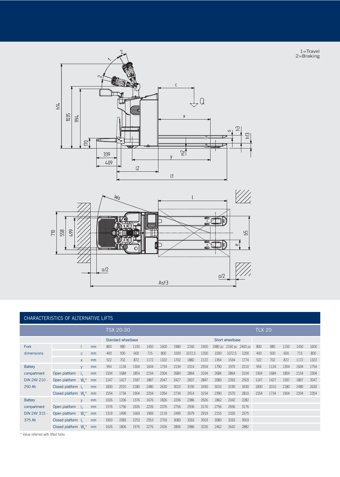

1=Travel 2=Braking



|                |                       |                |    |                    | <b>TSX 20-30</b> |      |      |      |      |        |      |      |                 |                         | <b>TLX 20</b> |      |      |      |      |
|----------------|-----------------------|----------------|----|--------------------|------------------|------|------|------|------|--------|------|------|-----------------|-------------------------|---------------|------|------|------|------|
|                |                       |                |    | Standard wheelbase |                  |      |      |      |      |        |      |      | Short wheelbase |                         |               |      |      |      |      |
| Fork           |                       |                | mm | 800                | 980              | 1150 | 1450 | 1600 | 1980 | 2160   | 2400 |      |                 | 1980 pc 2160 pc 2400 pc | 800           | 980  | 1150 | 1450 | 1600 |
| dimensions     |                       | $\mathsf{C}$   | mm | 400                | 500              | 600  | 715  | 800  | 1000 | 1072,5 | 1200 | 1000 | 1072,5          | 1200                    | 400           | 500  | 600  | 715  | 800  |
|                |                       | X              | mm | 522                | 702              | 872  | 1172 | 1322 | 1702 | 1882   | 2122 | 1354 | 1534            | 1774                    | 522           | 702  | 872  | 1172 | 1322 |
| <b>Battery</b> |                       | $\mathsf{V}$   | mm | 954                | 1134             | 1304 | 1604 | 1754 | 2134 | 2314   | 2554 | 1790 | 1970            | 2210                    | 954           | 1134 | 1304 | 1604 | 1754 |
| compartment    | Open platform         |                | mm | 1504               | 1684             | 1854 | 2154 | 2304 | 2684 | 2864   | 3104 | 2684 | 2864            | 3104                    | 1504          | 1684 | 1854 | 2154 | 2304 |
| DIN 24V 210 -  | Open platform         | $W_{\circ}$    | mm | 1247               | 1427             | 1597 | 1897 | 2047 | 2427 | 2607   | 2847 | 2083 | 2263            | 2503                    | 1247          | 1427 | 1597 | 1897 | 2047 |
| 250 Ah         | Closed platform       |                | mm | 1830               | 2010             | 2180 | 2480 | 2630 | 3010 | 3190   | 3430 | 3010 | 3190            | 3430                    | 1830          | 2010 | 2180 | 2480 | 2630 |
|                | Closed platform       | $W_{\cdot}$    | mm | 1554               | 1734             | 1904 | 2204 | 2354 | 2734 | 2914   | 3154 | 2390 | 2570            | 2810                    | 1554          | 1734 | 1904 | 2204 | 2354 |
| <b>Battery</b> |                       | $\mathsf{V}$   | mm | 1026               | 1206             | 1376 | 1676 | 1826 | 2206 | 2386   | 2626 | 1862 | 2042            | 2282                    |               |      |      |      |      |
| compartment    | Open platform         |                | mm | 1576               | 1756             | 1926 | 2226 | 2376 | 2756 | 2936   | 3176 | 2756 | 2936            | 3176                    |               |      |      |      |      |
| DIN 24V 315 -  | Open platform         | $W_{\alpha}^*$ | mm | 1319               | 1499             | 1669 | 1969 | 2119 | 2499 | 2679   | 2919 | 2155 | 2335            | 2575                    |               |      |      |      |      |
| 375 Ah         | Closed platform       |                | mm | 1903               | 2083             | 2253 | 2553 | 2703 | 3083 | 3263   | 3503 | 3083 | 3263            | 3503                    |               |      |      |      |      |
|                | Closed platform $W^*$ |                | mm | 1626               | 1806             | 1976 | 2276 | 2426 | 2806 | 2986   | 3226 | 2462 | 2642            | 2882                    |               |      |      |      |      |

 $Asf3$ 

\* Value referred with lifted forks